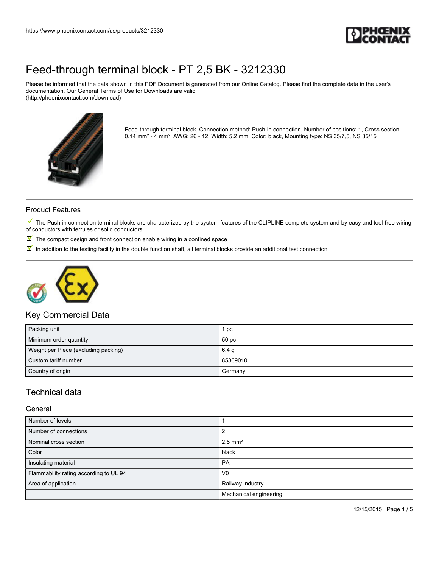

Please be informed that the data shown in this PDF Document is generated from our Online Catalog. Please find the complete data in the user's documentation. Our General Terms of Use for Downloads are valid (http://phoenixcontact.com/download)



Feed-through terminal block, Connection method: Push-in connection, Number of positions: 1, Cross section: 0.14 mm² - 4 mm², AWG: 26 - 12, Width: 5.2 mm, Color: black, Mounting type: NS 35/7,5, NS 35/15

### Product Features

 $\mathbb T$  The Push-in connection terminal blocks are characterized by the system features of the CLIPLINE complete system and by easy and tool-free wiring of conductors with ferrules or solid conductors

- $\mathbb F$  The compact design and front connection enable wiring in a confined space
- $\overline{\mathbb{M}}$  In addition to the testing facility in the double function shaft, all terminal blocks provide an additional test connection



### Key Commercial Data

| Packing unit                         | рc               |
|--------------------------------------|------------------|
| Minimum order quantity               | 50 pc            |
| Weight per Piece (excluding packing) | 6.4 <sub>g</sub> |
| Custom tariff number                 | 85369010         |
| Country of origin                    | Germany          |

## Technical data

#### **General**

| Number of levels                       |                        |
|----------------------------------------|------------------------|
| Number of connections                  |                        |
| Nominal cross section                  | $2.5$ mm <sup>2</sup>  |
| Color                                  | black                  |
| Insulating material                    | <b>PA</b>              |
| Flammability rating according to UL 94 | V <sub>0</sub>         |
| Area of application                    | Railway industry       |
|                                        | Mechanical engineering |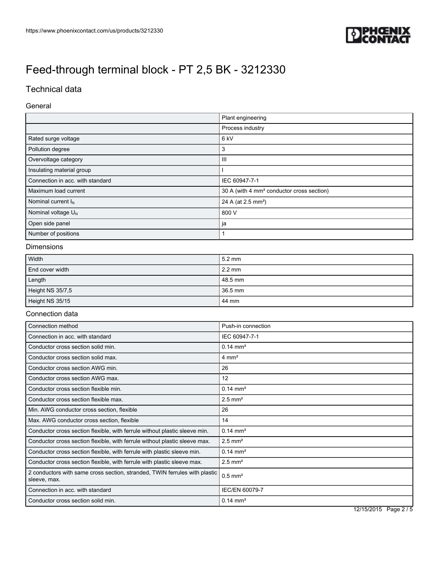

## Technical data

#### General

|                                                                                            | Plant engineering                                     |
|--------------------------------------------------------------------------------------------|-------------------------------------------------------|
|                                                                                            | Process industry                                      |
| Rated surge voltage                                                                        | 6 kV                                                  |
| Pollution degree                                                                           | 3                                                     |
| Overvoltage category                                                                       | $\mathbf{III}$                                        |
| Insulating material group                                                                  |                                                       |
| Connection in acc. with standard                                                           | IEC 60947-7-1                                         |
| Maximum load current                                                                       | 30 A (with 4 mm <sup>2</sup> conductor cross section) |
| Nominal current I <sub>N</sub>                                                             | 24 A (at 2.5 mm <sup>2</sup> )                        |
| Nominal voltage U <sub>N</sub>                                                             | 800 V                                                 |
| Open side panel                                                                            | ja                                                    |
| Number of positions                                                                        | $\mathbf{1}$                                          |
| Dimensions                                                                                 |                                                       |
| Width                                                                                      | 5.2 mm                                                |
| End cover width                                                                            | $2.2 \text{ mm}$                                      |
| Length                                                                                     | 48.5 mm                                               |
| Height NS 35/7,5                                                                           | 36.5 mm                                               |
| Height NS 35/15                                                                            | 44 mm                                                 |
| Connection data                                                                            |                                                       |
| Connection method                                                                          | Push-in connection                                    |
| Connection in acc. with standard                                                           | IEC 60947-7-1                                         |
| Conductor cross section solid min.                                                         | $0.14 \, \text{mm}^2$                                 |
| Conductor cross section solid max.                                                         | $4 \text{ mm}^2$                                      |
| Conductor cross section AWG min.                                                           | 26                                                    |
| Conductor cross section AWG max.                                                           | 12                                                    |
| Conductor cross section flexible min.                                                      | $0.14 \, \text{mm}^2$                                 |
| Conductor cross section flexible max.                                                      | $2.5$ mm <sup>2</sup>                                 |
| Min. AWG conductor cross section, flexible                                                 | 26                                                    |
| Max. AWG conductor cross section, flexible                                                 | 14                                                    |
| Conductor cross section flexible, with ferrule without plastic sleeve min.                 | $0.14 \, \text{mm}^2$                                 |
| Conductor cross section flexible, with ferrule without plastic sleeve max.                 | $2.5$ mm <sup>2</sup>                                 |
| Conductor cross section flexible, with ferrule with plastic sleeve min.                    | $0.14 \, \text{mm}^2$                                 |
| Conductor cross section flexible, with ferrule with plastic sleeve max.                    | $2.5$ mm <sup>2</sup>                                 |
| 2 conductors with same cross section, stranded, TWIN ferrules with plastic<br>sleeve, max. | $0.5$ mm <sup>2</sup>                                 |
| Connection in acc. with standard                                                           | IEC/EN 60079-7                                        |
| Conductor cross section solid min.                                                         | $0.14 \, \text{mm}^2$                                 |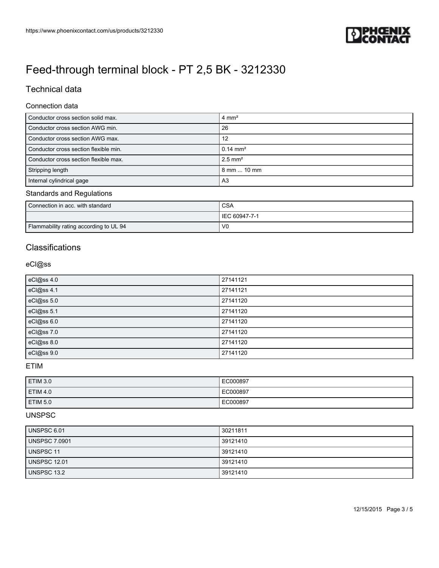

## Technical data

#### Connection data

| Conductor cross section solid max.    | $4 \text{ mm}^2$      |
|---------------------------------------|-----------------------|
| Conductor cross section AWG min.      | 26                    |
| Conductor cross section AWG max.      | 12                    |
| Conductor cross section flexible min. | $0.14 \text{ mm}^2$   |
| Conductor cross section flexible max. | $2.5$ mm <sup>2</sup> |
| Stripping length                      | 8 mm  10 mm           |
| Internal cylindrical gage             | A <sub>3</sub>        |

### Standards and Regulations

| Connection in acc. with standard              | <b>CSA</b>    |
|-----------------------------------------------|---------------|
|                                               | IEC 60947-7-1 |
| <b>Flammability rating according to UL 94</b> | V0            |

## **Classifications**

### eCl@ss

| eCl@ss 4.0 | 27141121 |
|------------|----------|
| eCl@ss 4.1 | 27141121 |
| eCl@ss 5.0 | 27141120 |
| eCl@ss 5.1 | 27141120 |
| eCl@ss 6.0 | 27141120 |
| eCl@ss 7.0 | 27141120 |
| eCl@ss 8.0 | 27141120 |
| eCl@ss 9.0 | 27141120 |

### ETIM

| ETIM 3.0 | EC000897 |
|----------|----------|
| ETIM 4.0 | EC000897 |
| ETIM 5.0 | EC000897 |

#### UNSPSC

| UNSPSC 6.01          | 30211811 |
|----------------------|----------|
| <b>UNSPSC 7.0901</b> | 39121410 |
| <b>UNSPSC 11</b>     | 39121410 |
| <b>UNSPSC 12.01</b>  | 39121410 |
| UNSPSC 13.2          | 39121410 |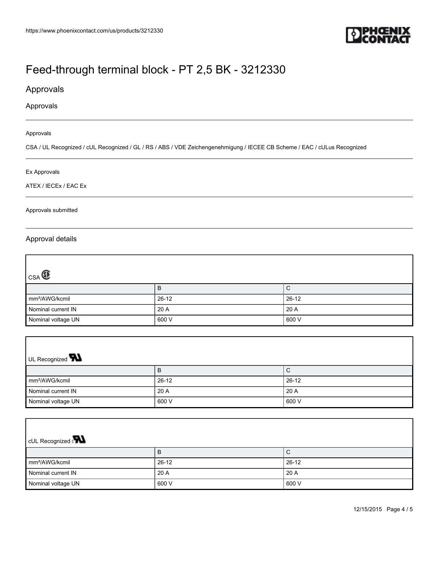

## Approvals

### Approvals

#### Approvals

CSA / UL Recognized / cUL Recognized / GL / RS / ABS / VDE Zeichengenehmigung / IECEE CB Scheme / EAC / cULus Recognized

#### Ex Approvals

#### ATEX / IECEx / EAC Ex

#### Approvals submitted

#### Approval details

| $\mathbb{C}_{\text{CSA}}$  |         |           |
|----------------------------|---------|-----------|
|                            | B       | С         |
| mm <sup>2</sup> /AWG/kcmil | $26-12$ | $26 - 12$ |
| Nominal current IN         | 20 A    | 20 A      |
| Nominal voltage UN         | 600 V   | 600 V     |

| UL Recognized <b>W</b>     |           |           |
|----------------------------|-----------|-----------|
|                            | В         | C         |
| mm <sup>2</sup> /AWG/kcmil | $26 - 12$ | $26 - 12$ |
| Nominal current IN         | 20 A      | 20 A      |
| Nominal voltage UN         | 600 V     | 600 V     |

| <b>CUL Recognized</b>      |         |       |
|----------------------------|---------|-------|
|                            | B       | C     |
| mm <sup>2</sup> /AWG/kcmil | $26-12$ | 26-12 |
| Nominal current IN         | 20 A    | 20 A  |
| Nominal voltage UN         | 600 V   | 600 V |

12/15/2015 Page 4 / 5